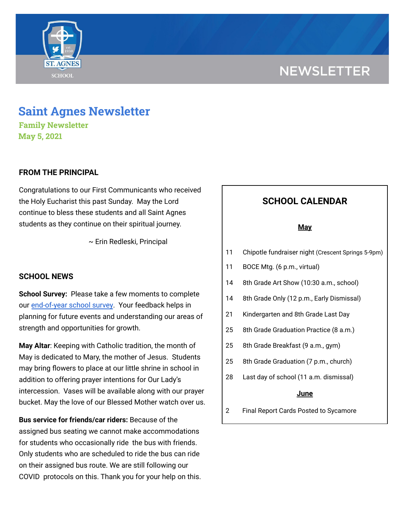# **NEWSLETTER**



# **Saint Agnes Newsletter**

**Family Newsletter May 5, 2021**

# **FROM THE PRINCIPAL**

Congratulations to our First Communicants who received the Holy Eucharist this past Sunday. May the Lord continue to bless these students and all Saint Agnes students as they continue on their spiritual journey.

~ Erin Redleski, Principal

## **SCHOOL NEWS**

**School Survey:** Please take a few moments to complete our [end-of-year](https://www.surveymonkey.com/r/StAParentSurvey0520) school survey. Your feedback helps in planning for future events and understanding our areas of strength and opportunities for growth.

**May Altar**: Keeping with Catholic tradition, the month of May is dedicated to Mary, the mother of Jesus. Students may bring flowers to place at our little shrine in school in addition to offering prayer intentions for Our Lady's intercession. Vases will be available along with our prayer bucket. May the love of our Blessed Mother watch over us.

**Bus service for friends/car riders:** Because of the assigned bus seating we cannot make accommodations for students who occasionally ride the bus with friends. Only students who are scheduled to ride the bus can ride on their assigned bus route. We are still following our COVID protocols on this. Thank you for your help on this.

# **SCHOOL CALENDAR**

#### **May**

- 11 Chipotle fundraiser night (Crescent Springs 5-9pm)
- 11 BOCE Mtg. (6 p.m., virtual)
- 14 8th Grade Art Show (10:30 a.m., school)
- 14 8th Grade Only (12 p.m., Early Dismissal)
- 21 Kindergarten and 8th Grade Last Day
- 25 8th Grade Graduation Practice (8 a.m.)
- 25 8th Grade Breakfast (9 a.m., gym)
- 25 8th Grade Graduation (7 p.m., church)
- 28 Last day of school (11 a.m. dismissal)

#### **June**

2 Final Report Cards Posted to Sycamore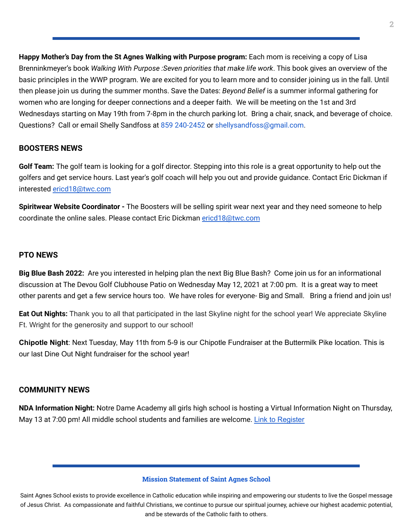**Happy Mother's Day from the St Agnes Walking with Purpose program:** Each mom is receiving a copy of Lisa Brenninkmeyer's book *Walking With Purpose :Seven priorities that make life work*. This book gives an overview of the basic principles in the WWP program. We are excited for you to learn more and to consider joining us in the fall. Until then please join us during the summer months. Save the Dates: *Beyond Belief* is a summer informal gathering for women who are longing for deeper connections and a deeper faith. We will be meeting on the 1st and 3rd Wednesdays starting on May 19th from 7-8pm in the church parking lot. Bring a chair, snack, and beverage of choice. Questions? Call or email Shelly Sandfoss at 859 240-2452 or shellysandfoss@gmail.com.

# **BOOSTERS NEWS**

**Golf Team:** The golf team is looking for a golf director. Stepping into this role is a great opportunity to help out the golfers and get service hours. Last year's golf coach will help you out and provide guidance. Contact Eric Dickman if interested [ericd18@twc.com](mailto:ericd18@twc.com)

**Spiritwear Website Coordinator -** The Boosters will be selling spirit wear next year and they need someone to help coordinate the online sales. Please contact Eric Dickman [ericd18@twc.com](mailto:ericd18@twc.com)

### **PTO NEWS**

**Big Blue Bash 2022:** Are you interested in helping plan the next Big Blue Bash? Come join us for an informational discussion at The Devou Golf Clubhouse Patio on Wednesday May 12, 2021 at 7:00 pm. It is a great way to meet other parents and get a few service hours too. We have roles for everyone- Big and Small. Bring a friend and join us!

**Eat Out Nights:** Thank you to all that participated in the last Skyline night for the school year! We appreciate Skyline Ft. Wright for the generosity and support to our school!

**Chipotle Night**: Next Tuesday, May 11th from 5-9 is our Chipotle Fundraiser at the Buttermilk Pike location. This is our last Dine Out Night fundraiser for the school year!

## **COMMUNITY NEWS**

**NDA Information Night:** Notre Dame Academy all girls high school is hosting a Virtual Information Night on Thursday, May 13 at 7:00 pm! All middle school students and families are welcome. Link to [Register](https://us02web.zoom.us/meeting/register/tZcrd-ysrz8tHNVMepYxv_HKpifE7TdUNCvp)

#### **Mission Statement of Saint Agnes School**

Saint Agnes School exists to provide excellence in Catholic education while inspiring and empowering our students to live the Gospel message of Jesus Christ. As compassionate and faithful Christians, we continue to pursue our spiritual journey, achieve our highest academic potential, and be stewards of the Catholic faith to others.